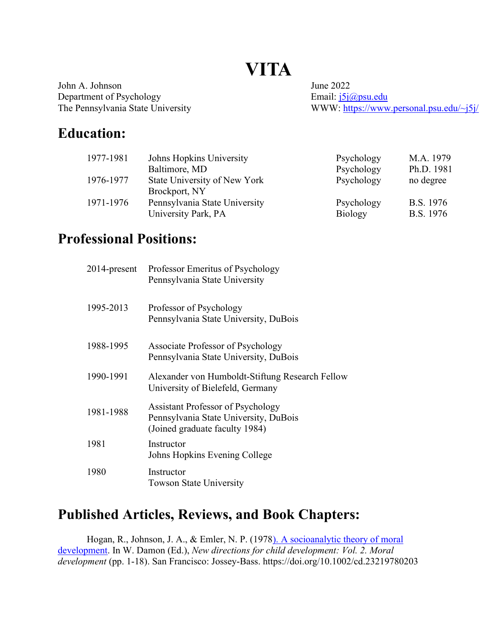# **VITA**

John A. Johnson June 2022 Department of Psychology<br>
The Pennsylvania State University<br>
WWW: https://www.

WWW: https://www.personal.psu.edu/~j5j/

## Education:

| 1977-1981 | Johns Hopkins University      | Psychology     | M.A. 1979  |
|-----------|-------------------------------|----------------|------------|
|           | Baltimore, MD                 | Psychology     | Ph.D. 1981 |
| 1976-1977 | State University of New York  | Psychology     | no degree  |
|           | Brockport, NY                 |                |            |
| 1971-1976 | Pennsylvania State University | Psychology     | B.S. 1976  |
|           | University Park, PA           | <b>Biology</b> | B.S. 1976  |

#### Professional Positions:

| $2014$ -present | Professor Emeritus of Psychology<br>Pennsylvania State University                                                   |
|-----------------|---------------------------------------------------------------------------------------------------------------------|
| 1995-2013       | Professor of Psychology<br>Pennsylvania State University, DuBois                                                    |
| 1988-1995       | Associate Professor of Psychology<br>Pennsylvania State University, DuBois                                          |
| 1990-1991       | Alexander von Humboldt-Stiftung Research Fellow<br>University of Bielefeld, Germany                                 |
| 1981-1988       | <b>Assistant Professor of Psychology</b><br>Pennsylvania State University, DuBois<br>(Joined graduate faculty 1984) |
| 1981            | Instructor<br>Johns Hopkins Evening College                                                                         |
| 1980            | Instructor<br><b>Towson State University</b>                                                                        |

## Published Articles, Reviews, and Book Chapters:

Hogan, R., Johnson, J. A., & Emler, N. P. (1978). A socioanalytic theory of moral development. In W. Damon (Ed.), New directions for child development: Vol. 2. Moral development (pp. 1-18). San Francisco: Jossey-Bass. https://doi.org/10.1002/cd.23219780203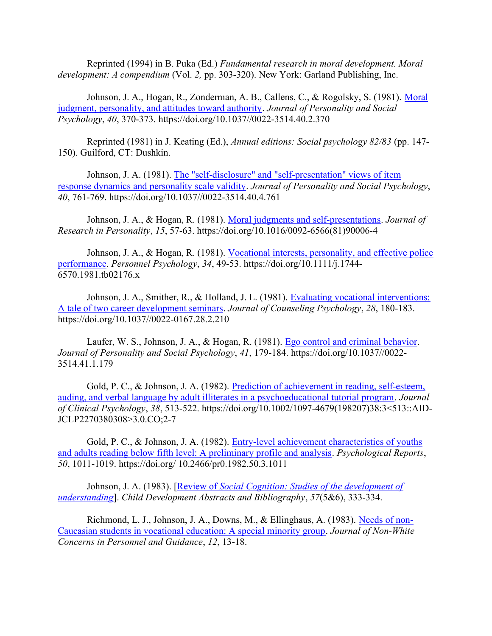Reprinted (1994) in B. Puka (Ed.) Fundamental research in moral development. Moral development: A compendium (Vol. 2, pp. 303-320). New York: Garland Publishing, Inc.

Johnson, J. A., Hogan, R., Zonderman, A. B., Callens, C., & Rogolsky, S. (1981). Moral judgment, personality, and attitudes toward authority. Journal of Personality and Social Psychology, 40, 370-373. https://doi.org/10.1037//0022-3514.40.2.370

Reprinted (1981) in J. Keating (Ed.), Annual editions: Social psychology 82/83 (pp. 147- 150). Guilford, CT: Dushkin.

Johnson, J. A. (1981). The "self-disclosure" and "self-presentation" views of item response dynamics and personality scale validity. Journal of Personality and Social Psychology, 40, 761-769. https://doi.org/10.1037//0022-3514.40.4.761

Johnson, J. A., & Hogan, R. (1981). Moral judgments and self-presentations. Journal of Research in Personality, 15, 57-63. https://doi.org/10.1016/0092-6566(81)90006-4

Johnson, J. A., & Hogan, R. (1981). Vocational interests, personality, and effective police performance. Personnel Psychology, 34, 49-53. https://doi.org/10.1111/j.1744- 6570.1981.tb02176.x

Johnson, J. A., Smither, R., & Holland, J. L. (1981). Evaluating vocational interventions: A tale of two career development seminars. Journal of Counseling Psychology, 28, 180-183. https://doi.org/10.1037//0022-0167.28.2.210

Laufer, W. S., Johnson, J. A., & Hogan, R. (1981). Ego control and criminal behavior. Journal of Personality and Social Psychology, 41, 179-184. https://doi.org/10.1037//0022- 3514.41.1.179

Gold, P. C., & Johnson, J. A. (1982). Prediction of achievement in reading, self-esteem, auding, and verbal language by adult illiterates in a psychoeducational tutorial program. Journal of Clinical Psychology, 38, 513-522. https://doi.org/10.1002/1097-4679(198207)38:3<513::AID-JCLP2270380308>3.0.CO;2-7

Gold, P. C., & Johnson, J. A. (1982). Entry-level achievement characteristics of youths and adults reading below fifth level: A preliminary profile and analysis. Psychological Reports, 50, 1011-1019. https://doi.org/ 10.2466/pr0.1982.50.3.1011

Johnson, J. A. (1983). [Review of Social Cognition: Studies of the development of understanding]. Child Development Abstracts and Bibliography, 57(5&6), 333-334.

Richmond, L. J., Johnson, J. A., Downs, M., & Ellinghaus, A. (1983). Needs of non-Caucasian students in vocational education: A special minority group. Journal of Non-White Concerns in Personnel and Guidance, 12, 13-18.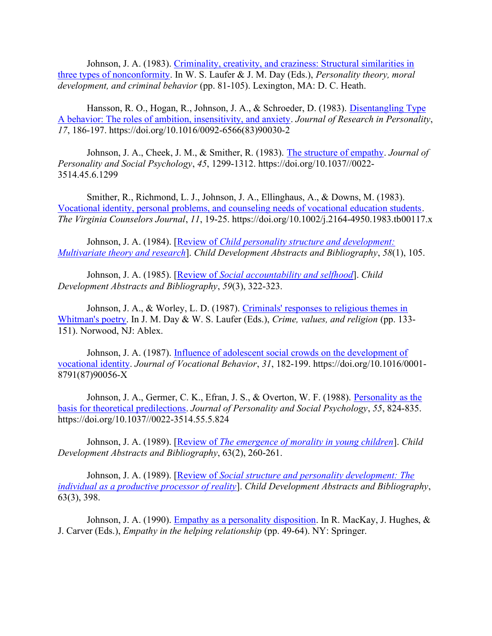Johnson, J. A. (1983). Criminality, creativity, and craziness: Structural similarities in three types of nonconformity. In W. S. Laufer & J. M. Day (Eds.), Personality theory, moral development, and criminal behavior (pp. 81-105). Lexington, MA: D. C. Heath.

Hansson, R. O., Hogan, R., Johnson, J. A., & Schroeder, D. (1983). Disentangling Type A behavior: The roles of ambition, insensitivity, and anxiety. Journal of Research in Personality, 17, 186-197. https://doi.org/10.1016/0092-6566(83)90030-2

Johnson, J. A., Cheek, J. M., & Smither, R. (1983). The structure of empathy. Journal of Personality and Social Psychology, 45, 1299-1312. https://doi.org/10.1037//0022- 3514.45.6.1299

Smither, R., Richmond, L. J., Johnson, J. A., Ellinghaus, A., & Downs, M. (1983). Vocational identity, personal problems, and counseling needs of vocational education students. The Virginia Counselors Journal, 11, 19-25. https://doi.org/10.1002/j.2164-4950.1983.tb00117.x

Johnson, J. A. (1984). [Review of *Child personality structure and development:* Multivariate theory and research]. Child Development Abstracts and Bibliography, 58(1), 105.

Johnson, J. A. (1985). [Review of Social accountability and selfhood]. Child Development Abstracts and Bibliography, 59(3), 322-323.

Johnson, J. A., & Worley, L. D. (1987). Criminals' responses to religious themes in Whitman's poetry. In J. M. Day & W. S. Laufer (Eds.), Crime, values, and religion (pp. 133- 151). Norwood, NJ: Ablex.

Johnson, J. A. (1987). *Influence of adolescent social crowds on the development of* vocational identity. Journal of Vocational Behavior, 31, 182-199. https://doi.org/10.1016/0001- 8791(87)90056-X

Johnson, J. A., Germer, C. K., Efran, J. S., & Overton, W. F. (1988). Personality as the basis for theoretical predilections. Journal of Personality and Social Psychology, 55, 824-835. https://doi.org/10.1037//0022-3514.55.5.824

Johnson, J. A. (1989). [Review of *The emergence of morality in young children*]. *Child* Development Abstracts and Bibliography, 63(2), 260-261.

Johnson, J. A. (1989). [Review of Social structure and personality development: The individual as a productive processor of reality]. Child Development Abstracts and Bibliography, 63(3), 398.

Johnson, J. A. (1990). Empathy as a personality disposition. In R. MacKay, J. Hughes, & J. Carver (Eds.), Empathy in the helping relationship (pp. 49-64). NY: Springer.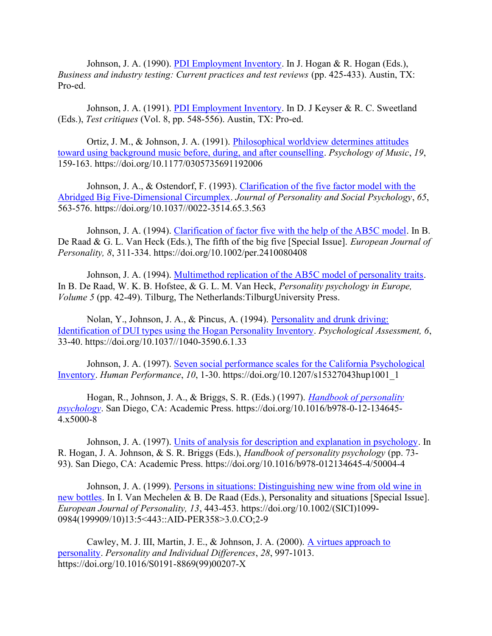Johnson, J. A. (1990). PDI Employment Inventory. In J. Hogan & R. Hogan (Eds.), Business and industry testing: Current practices and test reviews (pp. 425-433). Austin, TX: Pro-ed.

Johnson, J. A. (1991). PDI Employment Inventory. In D. J Keyser & R. C. Sweetland (Eds.), Test critiques (Vol. 8, pp. 548-556). Austin, TX: Pro-ed.

Ortiz, J. M., & Johnson, J. A. (1991). Philosophical worldview determines attitudes toward using background music before, during, and after counselling. Psychology of Music, 19, 159-163. https://doi.org/10.1177/0305735691192006

Johnson, J. A., & Ostendorf, F. (1993). Clarification of the five factor model with the Abridged Big Five-Dimensional Circumplex. Journal of Personality and Social Psychology, 65, 563-576. https://doi.org/10.1037//0022-3514.65.3.563

Johnson, J. A. (1994). Clarification of factor five with the help of the AB5C model. In B. De Raad & G. L. Van Heck (Eds.), The fifth of the big five [Special Issue]. *European Journal of* Personality, 8, 311-334. https://doi.org/10.1002/per.2410080408

Johnson, J. A. (1994). Multimethod replication of the AB5C model of personality traits. In B. De Raad, W. K. B. Hofstee, & G. L. M. Van Heck, Personality psychology in Europe, Volume 5 (pp. 42-49). Tilburg, The Netherlands:TilburgUniversity Press.

Nolan, Y., Johnson, J. A., & Pincus, A. (1994). Personality and drunk driving: Identification of DUI types using the Hogan Personality Inventory. Psychological Assessment, 6, 33-40. https://doi.org/10.1037//1040-3590.6.1.33

Johnson, J. A. (1997). Seven social performance scales for the California Psychological Inventory. Human Performance, 10, 1-30. https://doi.org/10.1207/s15327043hup1001\_1

Hogan, R., Johnson, J. A., & Briggs, S. R. (Eds.) (1997). *Handbook of personality* psychology. San Diego, CA: Academic Press. https://doi.org/10.1016/b978-0-12-134645- 4.x5000-8

Johnson, J. A. (1997). Units of analysis for description and explanation in psychology. In R. Hogan, J. A. Johnson, & S. R. Briggs (Eds.), Handbook of personality psychology (pp. 73- 93). San Diego, CA: Academic Press. https://doi.org/10.1016/b978-012134645-4/50004-4

Johnson, J. A. (1999). Persons in situations: Distinguishing new wine from old wine in new bottles. In I. Van Mechelen & B. De Raad (Eds.), Personality and situations [Special Issue]. European Journal of Personality, 13, 443-453. https://doi.org/10.1002/(SICI)1099- 0984(199909/10)13:5<443::AID-PER358>3.0.CO;2-9

Cawley, M. J. III, Martin, J. E., & Johnson, J. A. (2000). A virtues approach to personality. Personality and Individual Differences, 28, 997-1013. https://doi.org/10.1016/S0191-8869(99)00207-X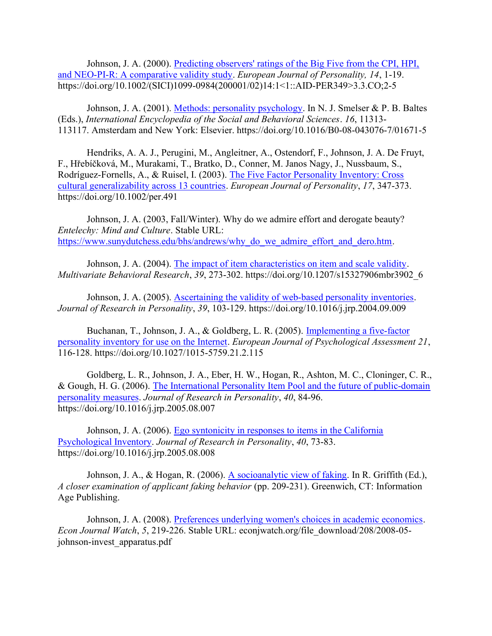Johnson, J. A. (2000). Predicting observers' ratings of the Big Five from the CPI, HPI, and NEO-PI-R: A comparative validity study. European Journal of Personality, 14, 1-19. https://doi.org/10.1002/(SICI)1099-0984(200001/02)14:1<1::AID-PER349>3.3.CO;2-5

Johnson, J. A. (2001). Methods: personality psychology. In N. J. Smelser & P. B. Baltes (Eds.), International Encyclopedia of the Social and Behavioral Sciences. 16, 11313- 113117. Amsterdam and New York: Elsevier. https://doi.org/10.1016/B0-08-043076-7/01671-5

Hendriks, A. A. J., Perugini, M., Angleitner, A., Ostendorf, F., Johnson, J. A. De Fruyt, F., Hřebíčková, M., Murakami, T., Bratko, D., Conner, M. Janos Nagy, J., Nussbaum, S., Rodríguez-Fornells, A., & Ruisel, I. (2003). The Five Factor Personality Inventory: Cross cultural generalizability across 13 countries. European Journal of Personality, 17, 347-373. https://doi.org/10.1002/per.491

Johnson, J. A. (2003, Fall/Winter). Why do we admire effort and derogate beauty? Entelechy: Mind and Culture. Stable URL: https://www.sunydutchess.edu/bhs/andrews/why\_do\_we\_admire\_effort\_and\_dero.htm.

Johnson, J. A. (2004). The impact of item characteristics on item and scale validity. Multivariate Behavioral Research, 39, 273-302. https://doi.org/10.1207/s15327906mbr3902\_6

Johnson, J. A. (2005). **Ascertaining the validity of web-based personality inventories.** Journal of Research in Personality, 39, 103-129. https://doi.org/10.1016/j.jrp.2004.09.009

Buchanan, T., Johnson, J. A., & Goldberg, L. R. (2005). Implementing a five-factor personality inventory for use on the Internet. European Journal of Psychological Assessment 21, 116-128. https://doi.org/10.1027/1015-5759.21.2.115

Goldberg, L. R., Johnson, J. A., Eber, H. W., Hogan, R., Ashton, M. C., Cloninger, C. R., & Gough, H. G. (2006). The International Personality Item Pool and the future of public-domain personality measures. Journal of Research in Personality, 40, 84-96. https://doi.org/10.1016/j.jrp.2005.08.007

Johnson, J. A. (2006). Ego syntonicity in responses to items in the California Psychological Inventory. Journal of Research in Personality, 40, 73-83. https://doi.org/10.1016/j.jrp.2005.08.008

Johnson, J. A., & Hogan, R. (2006). A socioanalytic view of faking. In R. Griffith (Ed.), A closer examination of applicant faking behavior (pp. 209-231). Greenwich, CT: Information Age Publishing.

Johnson, J. A. (2008). Preferences underlying women's choices in academic economics. Econ Journal Watch, 5, 219-226. Stable URL: econjwatch.org/file\_download/208/2008-05 johnson-invest\_apparatus.pdf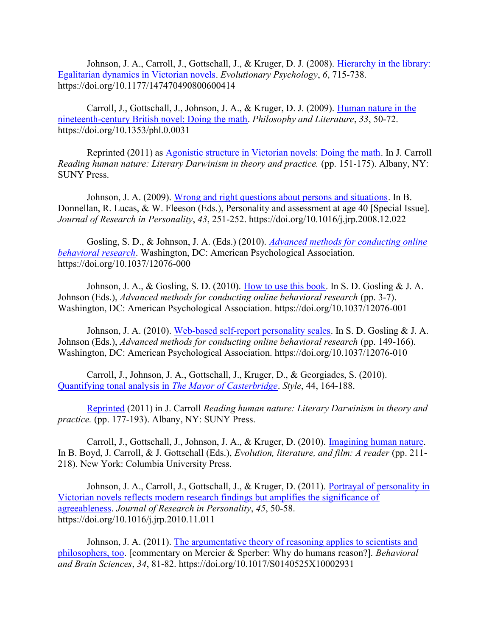Johnson, J. A., Carroll, J., Gottschall, J., & Kruger, D. J. (2008). Hierarchy in the library: Egalitarian dynamics in Victorian novels. Evolutionary Psychology, 6, 715-738. https://doi.org/10.1177/147470490800600414

Carroll, J., Gottschall, J., Johnson, J. A., & Kruger, D. J. (2009). Human nature in the nineteenth-century British novel: Doing the math. Philosophy and Literature, 33, 50-72. https://doi.org/10.1353/phl.0.0031

Reprinted (2011) as Agonistic structure in Victorian novels: Doing the math. In J. Carroll Reading human nature: Literary Darwinism in theory and practice. (pp. 151-175). Albany, NY: SUNY Press.

Johnson, J. A. (2009). Wrong and right questions about persons and situations. In B. Donnellan, R. Lucas, & W. Fleeson (Eds.), Personality and assessment at age 40 [Special Issue]. Journal of Research in Personality, 43, 251-252. https://doi.org/10.1016/j.jrp.2008.12.022

Gosling, S. D., & Johnson, J. A. (Eds.) (2010). *Advanced methods for conducting online* behavioral research. Washington, DC: American Psychological Association. https://doi.org/10.1037/12076-000

Johnson, J. A., & Gosling, S. D. (2010). How to use this book. In S. D. Gosling & J. A. Johnson (Eds.), Advanced methods for conducting online behavioral research (pp. 3-7). Washington, DC: American Psychological Association. https://doi.org/10.1037/12076-001

Johnson, J. A. (2010). Web-based self-report personality scales. In S. D. Gosling & J. A. Johnson (Eds.), Advanced methods for conducting online behavioral research (pp. 149-166). Washington, DC: American Psychological Association. https://doi.org/10.1037/12076-010

Carroll, J., Johnson, J. A., Gottschall, J., Kruger, D., & Georgiades, S. (2010). Quantifying tonal analysis in The Mayor of Casterbridge. Style, 44, 164-188.

Reprinted (2011) in J. Carroll Reading human nature: Literary Darwinism in theory and practice. (pp. 177-193). Albany, NY: SUNY Press.

Carroll, J., Gottschall, J., Johnson, J. A., & Kruger, D. (2010). Imagining human nature. In B. Boyd, J. Carroll, & J. Gottschall (Eds.), Evolution, literature, and film: A reader (pp. 211-218). New York: Columbia University Press.

Johnson, J. A., Carroll, J., Gottschall, J., & Kruger, D. (2011). Portrayal of personality in Victorian novels reflects modern research findings but amplifies the significance of agreeableness. Journal of Research in Personality, 45, 50-58. https://doi.org/10.1016/j.jrp.2010.11.011

Johnson, J. A. (2011). The argumentative theory of reasoning applies to scientists and philosophers, too. [commentary on Mercier & Sperber: Why do humans reason?]. Behavioral and Brain Sciences, 34, 81-82. https://doi.org/10.1017/S0140525X10002931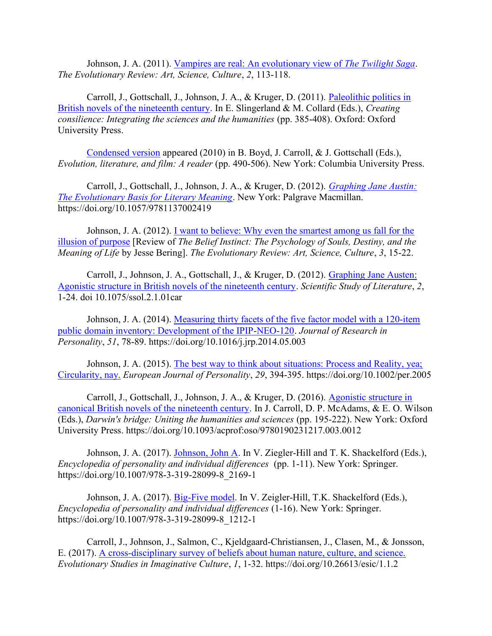Johnson, J. A. (2011). Vampires are real: An evolutionary view of The Twilight Saga. The Evolutionary Review: Art, Science, Culture, 2, 113-118.

Carroll, J., Gottschall, J., Johnson, J. A., & Kruger, D. (2011). Paleolithic politics in British novels of the nineteenth century. In E. Slingerland & M. Collard (Eds.), Creating consilience: Integrating the sciences and the humanities (pp. 385-408). Oxford: Oxford University Press.

Condensed version appeared (2010) in B. Boyd, J. Carroll, & J. Gottschall (Eds.), Evolution, literature, and film: A reader (pp. 490-506). New York: Columbia University Press.

Carroll, J., Gottschall, J., Johnson, J. A., & Kruger, D. (2012). Graphing Jane Austin: The Evolutionary Basis for Literary Meaning. New York: Palgrave Macmillan. https://doi.org/10.1057/9781137002419

Johnson, J. A. (2012). I want to believe: Why even the smartest among us fall for the illusion of purpose [Review of The Belief Instinct: The Psychology of Souls, Destiny, and the Meaning of Life by Jesse Bering]. The Evolutionary Review: Art, Science, Culture, 3, 15-22.

Carroll, J., Johnson, J. A., Gottschall, J., & Kruger, D. (2012). Graphing Jane Austen: Agonistic structure in British novels of the nineteenth century. Scientific Study of Literature, 2, 1-24. doi 10.1075/ssol.2.1.01car

Johnson, J. A. (2014). Measuring thirty facets of the five factor model with a 120-item public domain inventory: Development of the IPIP-NEO-120. Journal of Research in Personality, 51, 78-89. https://doi.org/10.1016/j.jrp.2014.05.003

Johnson, J. A. (2015). The best way to think about situations: Process and Reality, yea; Circularity, nay. European Journal of Personality, 29, 394-395. https://doi.org/10.1002/per.2005

Carroll, J., Gottschall, J., Johnson, J. A., & Kruger, D. (2016). Agonistic structure in canonical British novels of the nineteenth century. In J. Carroll, D. P. McAdams, & E. O. Wilson (Eds.), Darwin's bridge: Uniting the humanities and sciences (pp. 195-222). New York: Oxford University Press. https://doi.org/10.1093/acprof:oso/9780190231217.003.0012

Johnson, J. A. (2017). Johnson, John A. In V. Ziegler-Hill and T. K. Shackelford (Eds.), Encyclopedia of personality and individual differences (pp. 1-11). New York: Springer. https://doi.org/10.1007/978-3-319-28099-8\_2169-1

Johnson, J. A. (2017). Big-Five model. In V. Zeigler-Hill, T.K. Shackelford (Eds.), Encyclopedia of personality and individual differences (1-16). New York: Springer. https://doi.org/10.1007/978-3-319-28099-8\_1212-1

Carroll, J., Johnson, J., Salmon, C., Kjeldgaard-Christiansen, J., Clasen, M., & Jonsson, E. (2017). A cross-disciplinary survey of beliefs about human nature, culture, and science. Evolutionary Studies in Imaginative Culture, 1, 1-32. https://doi.org/10.26613/esic/1.1.2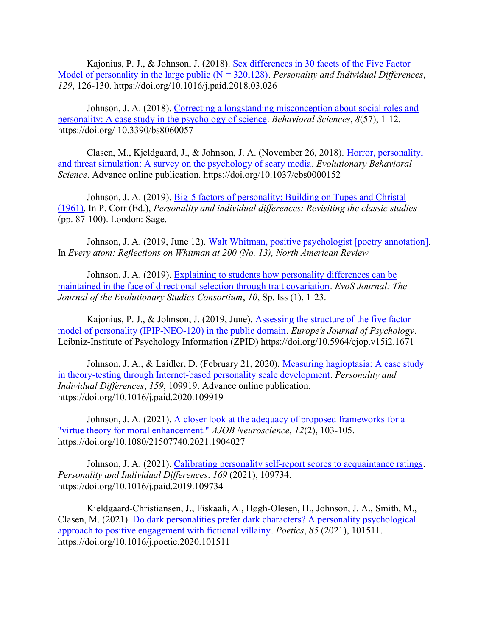Kajonius, P. J., & Johnson, J. (2018). Sex differences in 30 facets of the Five Factor Model of personality in the large public ( $N = 320,128$ ). Personality and Individual Differences, 129, 126-130. https://doi.org/10.1016/j.paid.2018.03.026

Johnson, J. A. (2018). Correcting a longstanding misconception about social roles and personality: A case study in the psychology of science. Behavioral Sciences, 8(57), 1-12. https://doi.org/ 10.3390/bs8060057

Clasen, M., Kjeldgaard, J., & Johnson, J. A. (November 26, 2018). Horror, personality, and threat simulation: A survey on the psychology of scary media. Evolutionary Behavioral Science. Advance online publication. https://doi.org/10.1037/ebs0000152

Johnson, J. A. (2019). Big-5 factors of personality: Building on Tupes and Christal (1961). In P. Corr (Ed.), Personality and individual differences: Revisiting the classic studies (pp. 87-100). London: Sage.

Johnson, J. A. (2019, June 12). Walt Whitman, positive psychologist [poetry annotation]. In Every atom: Reflections on Whitman at 200 (No. 13), North American Review

Johnson, J. A. (2019). Explaining to students how personality differences can be maintained in the face of directional selection through trait covariation. EvoS Journal: The Journal of the Evolutionary Studies Consortium, 10, Sp. Iss (1), 1-23.

Kajonius, P. J., & Johnson, J. (2019, June). Assessing the structure of the five factor model of personality (IPIP-NEO-120) in the public domain. Europe's Journal of Psychology. Leibniz-Institute of Psychology Information (ZPID) https://doi.org/10.5964/ejop.v15i2.1671

Johnson, J. A., & Laidler, D. (February 21, 2020). Measuring hagioptasia: A case study in theory-testing through Internet-based personality scale development. Personality and Individual Differences, 159, 109919. Advance online publication. https://doi.org/10.1016/j.paid.2020.109919

Johnson, J. A. (2021). A closer look at the adequacy of proposed frameworks for a "virtue theory for moral enhancement." AJOB Neuroscience, 12(2), 103-105. https://doi.org/10.1080/21507740.2021.1904027

Johnson, J. A. (2021). Calibrating personality self-report scores to acquaintance ratings. Personality and Individual Differences. 169 (2021), 109734. https://doi.org/10.1016/j.paid.2019.109734

Kjeldgaard-Christiansen, J., Fiskaali, A., Høgh-Olesen, H., Johnson, J. A., Smith, M., Clasen, M. (2021). Do dark personalities prefer dark characters? A personality psychological approach to positive engagement with fictional villainy. Poetics, 85 (2021), 101511. https://doi.org/10.1016/j.poetic.2020.101511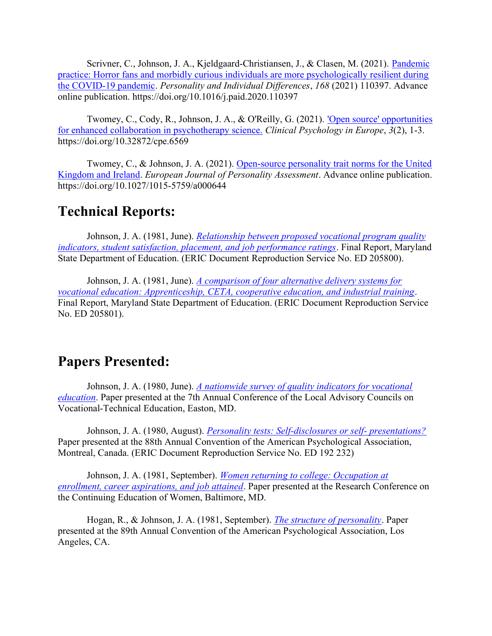Scrivner, C., Johnson, J. A., Kjeldgaard-Christiansen, J., & Clasen, M. (2021). Pandemic practice: Horror fans and morbidly curious individuals are more psychologically resilient during the COVID-19 pandemic. Personality and Individual Differences, 168 (2021) 110397. Advance online publication. https://doi.org/10.1016/j.paid.2020.110397

Twomey, C., Cody, R., Johnson, J. A., & O'Reilly, G. (2021). 'Open source' opportunities for enhanced collaboration in psychotherapy science. Clinical Psychology in Europe, 3(2), 1-3. https://doi.org/10.32872/cpe.6569

Twomey, C., & Johnson, J. A. (2021). Open-source personality trait norms for the United Kingdom and Ireland. European Journal of Personality Assessment. Advance online publication. https://doi.org/10.1027/1015-5759/a000644

#### Technical Reports:

Johnson, J. A. (1981, June). *Relationship between proposed vocational program quality* indicators, student satisfaction, placement, and job performance ratings. Final Report, Maryland State Department of Education. (ERIC Document Reproduction Service No. ED 205800).

Johnson, J. A. (1981, June). *A comparison of four alternative delivery systems for* vocational education: Apprenticeship, CETA, cooperative education, and industrial training. Final Report, Maryland State Department of Education. (ERIC Document Reproduction Service No. ED 205801).

#### Papers Presented:

Johnson, J. A. (1980, June). *A nationwide survey of quality indicators for vocational* education. Paper presented at the 7th Annual Conference of the Local Advisory Councils on Vocational-Technical Education, Easton, MD.

Johnson, J. A. (1980, August). *Personality tests: Self-disclosures or self- presentations?* Paper presented at the 88th Annual Convention of the American Psychological Association, Montreal, Canada. (ERIC Document Reproduction Service No. ED 192 232)

Johnson, J. A. (1981, September). Women returning to college: Occupation at enrollment, career aspirations, and job attained. Paper presented at the Research Conference on the Continuing Education of Women, Baltimore, MD.

Hogan, R., & Johnson, J. A. (1981, September). The structure of personality. Paper presented at the 89th Annual Convention of the American Psychological Association, Los Angeles, CA.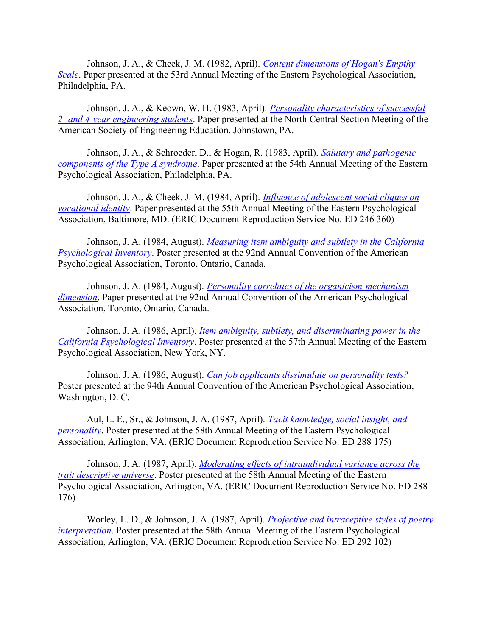Johnson, J. A., & Cheek, J. M. (1982, April). Content dimensions of Hogan's Empthy Scale. Paper presented at the 53rd Annual Meeting of the Eastern Psychological Association, Philadelphia, PA.

Johnson, J. A., & Keown, W. H. (1983, April). *Personality characteristics of successful* 2- and 4-year engineering students. Paper presented at the North Central Section Meeting of the American Society of Engineering Education, Johnstown, PA.

Johnson, J. A., & Schroeder, D., & Hogan, R. (1983, April). Salutary and pathogenic components of the Type A syndrome. Paper presented at the 54th Annual Meeting of the Eastern Psychological Association, Philadelphia, PA.

Johnson, J. A., & Cheek, J. M. (1984, April). *Influence of adolescent social cliques on* vocational identity. Paper presented at the 55th Annual Meeting of the Eastern Psychological Association, Baltimore, MD. (ERIC Document Reproduction Service No. ED 246 360)

Johnson, J. A. (1984, August). *Measuring item ambiguity and subtlety in the California* Psychological Inventory. Poster presented at the 92nd Annual Convention of the American Psychological Association, Toronto, Ontario, Canada.

Johnson, J. A. (1984, August). *Personality correlates of the organicism-mechanism* dimension. Paper presented at the 92nd Annual Convention of the American Psychological Association, Toronto, Ontario, Canada.

Johnson, J. A. (1986, April). *Item ambiguity, subtlety, and discriminating power in the* California Psychological Inventory. Poster presented at the 57th Annual Meeting of the Eastern Psychological Association, New York, NY.

Johnson, J. A. (1986, August). Can job applicants dissimulate on personality tests? Poster presented at the 94th Annual Convention of the American Psychological Association, Washington, D. C.

Aul, L. E., Sr., & Johnson, J. A. (1987, April). *Tacit knowledge, social insight, and* personality. Poster presented at the 58th Annual Meeting of the Eastern Psychological Association, Arlington, VA. (ERIC Document Reproduction Service No. ED 288 175)

Johnson, J. A. (1987, April). *Moderating effects of intraindividual variance across the* trait descriptive universe. Poster presented at the 58th Annual Meeting of the Eastern Psychological Association, Arlington, VA. (ERIC Document Reproduction Service No. ED 288 176)

Worley, L. D., & Johnson, J. A. (1987, April). *Projective and intraceptive styles of poetry* interpretation. Poster presented at the 58th Annual Meeting of the Eastern Psychological Association, Arlington, VA. (ERIC Document Reproduction Service No. ED 292 102)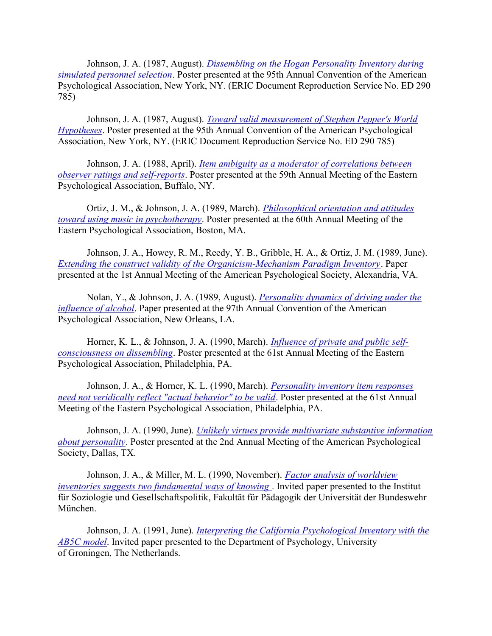Johnson, J. A. (1987, August). *Dissembling on the Hogan Personality Inventory during* simulated personnel selection. Poster presented at the 95th Annual Convention of the American Psychological Association, New York, NY. (ERIC Document Reproduction Service No. ED 290 785)

Johnson, J. A. (1987, August). Toward valid measurement of Stephen Pepper's World Hypotheses. Poster presented at the 95th Annual Convention of the American Psychological Association, New York, NY. (ERIC Document Reproduction Service No. ED 290 785)

Johnson, J. A. (1988, April). *Item ambiguity as a moderator of correlations between* observer ratings and self-reports. Poster presented at the 59th Annual Meeting of the Eastern Psychological Association, Buffalo, NY.

Ortiz, J. M., & Johnson, J. A. (1989, March). Philosophical orientation and attitudes toward using music in psychotherapy. Poster presented at the 60th Annual Meeting of the Eastern Psychological Association, Boston, MA.

Johnson, J. A., Howey, R. M., Reedy, Y. B., Gribble, H. A., & Ortiz, J. M. (1989, June). Extending the construct validity of the Organicism-Mechanism Paradigm Inventory. Paper presented at the 1st Annual Meeting of the American Psychological Society, Alexandria, VA.

Nolan, Y., & Johnson, J. A. (1989, August). *Personality dynamics of driving under the* influence of alcohol. Paper presented at the 97th Annual Convention of the American Psychological Association, New Orleans, LA.

Horner, K. L., & Johnson, J. A. (1990, March). *Influence of private and public self*consciousness on dissembling. Poster presented at the 61st Annual Meeting of the Eastern Psychological Association, Philadelphia, PA.

Johnson, J. A., & Horner, K. L. (1990, March). *Personality inventory item responses* need not veridically reflect "actual behavior" to be valid. Poster presented at the 61st Annual Meeting of the Eastern Psychological Association, Philadelphia, PA.

Johnson, J. A. (1990, June). *Unlikely virtues provide multivariate substantive information* about personality. Poster presented at the 2nd Annual Meeting of the American Psychological Society, Dallas, TX.

Johnson, J. A., & Miller, M. L. (1990, November). *Factor analysis of worldview* inventories suggests two fundamental ways of knowing. Invited paper presented to the Institut für Soziologie und Gesellschaftspolitik, Fakultät für Pädagogik der Universität der Bundeswehr München.

Johnson, J. A. (1991, June). *Interpreting the California Psychological Inventory with the* AB5C model. Invited paper presented to the Department of Psychology, University of Groningen, The Netherlands.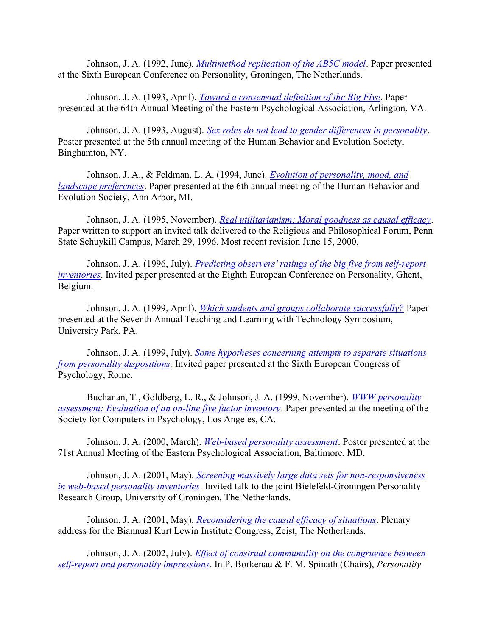Johnson, J. A. (1992, June). *Multimethod replication of the AB5C model*. Paper presented at the Sixth European Conference on Personality, Groningen, The Netherlands.

Johnson, J. A. (1993, April). Toward a consensual definition of the Big Five. Paper presented at the 64th Annual Meeting of the Eastern Psychological Association, Arlington, VA.

Johnson, J. A. (1993, August). Sex roles do not lead to gender differences in personality. Poster presented at the 5th annual meeting of the Human Behavior and Evolution Society, Binghamton, NY.

Johnson, J. A., & Feldman, L. A. (1994, June). *Evolution of personality, mood, and* landscape preferences. Paper presented at the 6th annual meeting of the Human Behavior and Evolution Society, Ann Arbor, MI.

Johnson, J. A. (1995, November). Real utilitarianism: Moral goodness as causal efficacy. Paper written to support an invited talk delivered to the Religious and Philosophical Forum, Penn State Schuykill Campus, March 29, 1996. Most recent revision June 15, 2000.

Johnson, J. A. (1996, July). Predicting observers' ratings of the big five from self-report inventories. Invited paper presented at the Eighth European Conference on Personality, Ghent, Belgium.

Johnson, J. A. (1999, April). *Which students and groups collaborate successfully?* Paper presented at the Seventh Annual Teaching and Learning with Technology Symposium, University Park, PA.

Johnson, J. A. (1999, July). Some hypotheses concerning attempts to separate situations from personality dispositions. Invited paper presented at the Sixth European Congress of Psychology, Rome.

Buchanan, T., Goldberg, L. R., & Johnson, J. A. (1999, November). WWW personality assessment: Evaluation of an on-line five factor inventory. Paper presented at the meeting of the Society for Computers in Psychology, Los Angeles, CA.

Johnson, J. A. (2000, March). Web-based personality assessment. Poster presented at the 71st Annual Meeting of the Eastern Psychological Association, Baltimore, MD.

Johnson, J. A. (2001, May). Screening massively large data sets for non-responsiveness in web-based personality inventories. Invited talk to the joint Bielefeld-Groningen Personality Research Group, University of Groningen, The Netherlands.

Johnson, J. A. (2001, May). *Reconsidering the causal efficacy of situations*. Plenary address for the Biannual Kurt Lewin Institute Congress, Zeist, The Netherlands.

Johnson, J. A. (2002, July). *Effect of construal communality on the congruence between* self-report and personality impressions. In P. Borkenau & F. M. Spinath (Chairs), Personality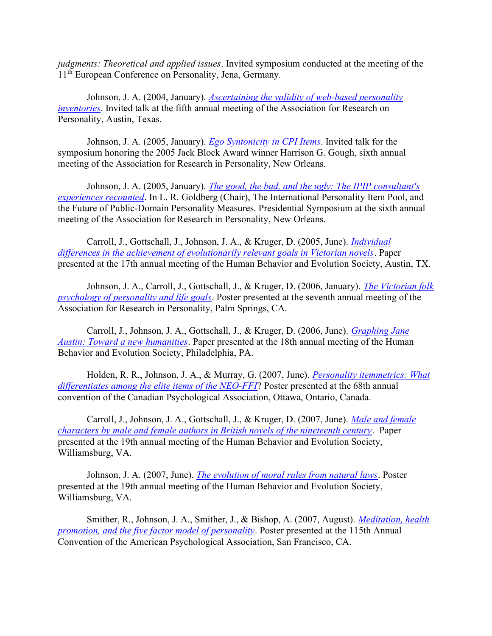judgments: Theoretical and applied issues. Invited symposium conducted at the meeting of the 11<sup>th</sup> European Conference on Personality, Jena, Germany.

Johnson, J. A. (2004, January). Ascertaining the validity of web-based personality inventories. Invited talk at the fifth annual meeting of the Association for Research on Personality, Austin, Texas.

Johnson, J. A. (2005, January). *Ego Syntonicity in CPI Items*. Invited talk for the symposium honoring the 2005 Jack Block Award winner Harrison G. Gough, sixth annual meeting of the Association for Research in Personality, New Orleans.

Johnson, J. A. (2005, January). The good, the bad, and the ugly: The IPIP consultant's experiences recounted. In L. R. Goldberg (Chair), The International Personality Item Pool, and the Future of Public-Domain Personality Measures. Presidential Symposium at the sixth annual meeting of the Association for Research in Personality, New Orleans.

Carroll, J., Gottschall, J., Johnson, J. A., & Kruger, D. (2005, June). Individual differences in the achievement of evolutionarily relevant goals in Victorian novels. Paper presented at the 17th annual meeting of the Human Behavior and Evolution Society, Austin, TX.

Johnson, J. A., Carroll, J., Gottschall, J., & Kruger, D. (2006, January). The Victorian folk psychology of personality and life goals. Poster presented at the seventh annual meeting of the Association for Research in Personality, Palm Springs, CA.

Carroll, J., Johnson, J. A., Gottschall, J., & Kruger, D. (2006, June). Graphing Jane Austin: Toward a new humanities. Paper presented at the 18th annual meeting of the Human Behavior and Evolution Society, Philadelphia, PA.

Holden, R. R., Johnson, J. A., & Murray, G. (2007, June). *Personality itemmetrics: What* differentiates among the elite items of the NEO-FFI? Poster presented at the 68th annual convention of the Canadian Psychological Association, Ottawa, Ontario, Canada.

Carroll, J., Johnson, J. A., Gottschall, J., & Kruger, D. (2007, June). Male and female characters by male and female authors in British novels of the nineteenth century. Paper presented at the 19th annual meeting of the Human Behavior and Evolution Society, Williamsburg, VA.

Johnson, J. A. (2007, June). The evolution of moral rules from natural laws. Poster presented at the 19th annual meeting of the Human Behavior and Evolution Society, Williamsburg, VA.

Smither, R., Johnson, J. A., Smither, J., & Bishop, A. (2007, August). Meditation, health promotion, and the five factor model of personality. Poster presented at the 115th Annual Convention of the American Psychological Association, San Francisco, CA.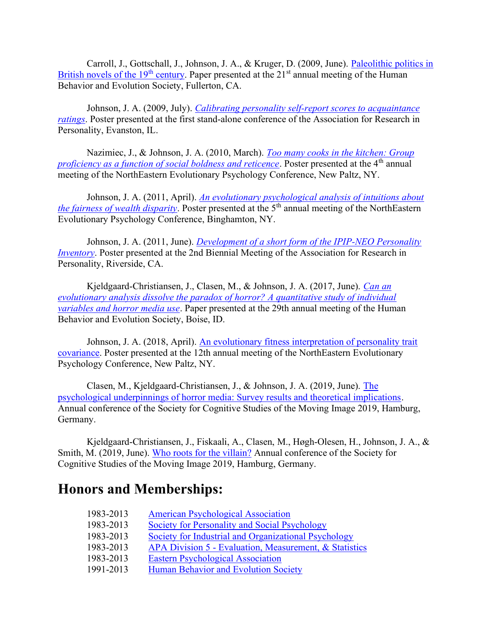Carroll, J., Gottschall, J., Johnson, J. A., & Kruger, D. (2009, June). Paleolithic politics in British novels of the  $19<sup>th</sup>$  century. Paper presented at the  $21<sup>st</sup>$  annual meeting of the Human Behavior and Evolution Society, Fullerton, CA.

Johnson, J. A. (2009, July). Calibrating personality self-report scores to acquaintance ratings. Poster presented at the first stand-alone conference of the Association for Research in Personality, Evanston, IL.

Nazimiec, J., & Johnson, J. A. (2010, March). Too many cooks in the kitchen: Group proficiency as a function of social boldness and reticence. Poster presented at the  $4<sup>th</sup>$  annual meeting of the NorthEastern Evolutionary Psychology Conference, New Paltz, NY.

Johnson, J. A. (2011, April). An evolutionary psychological analysis of intuitions about the fairness of wealth disparity. Poster presented at the 5<sup>th</sup> annual meeting of the NorthEastern Evolutionary Psychology Conference, Binghamton, NY.

Johnson, J. A. (2011, June). *Development of a short form of the IPIP-NEO Personality* Inventory. Poster presented at the 2nd Biennial Meeting of the Association for Research in Personality, Riverside, CA.

Kjeldgaard-Christiansen, J., Clasen, M., & Johnson, J. A. (2017, June). Can an evolutionary analysis dissolve the paradox of horror? A quantitative study of individual variables and horror media use. Paper presented at the 29th annual meeting of the Human Behavior and Evolution Society, Boise, ID.

Johnson, J. A. (2018, April). An evolutionary fitness interpretation of personality trait covariance. Poster presented at the 12th annual meeting of the NorthEastern Evolutionary Psychology Conference, New Paltz, NY.

Clasen, M., Kjeldgaard-Christiansen, J., & Johnson, J. A. (2019, June). The psychological underpinnings of horror media: Survey results and theoretical implications. Annual conference of the Society for Cognitive Studies of the Moving Image 2019, Hamburg, Germany.

Kjeldgaard-Christiansen, J., Fiskaali, A., Clasen, M., Høgh-Olesen, H., Johnson, J. A., & Smith, M. (2019, June). Who roots for the villain? Annual conference of the Society for Cognitive Studies of the Moving Image 2019, Hamburg, Germany.

## Honors and Memberships:

| 1983-2013 | <b>American Psychological Association</b>              |
|-----------|--------------------------------------------------------|
| 1983-2013 | Society for Personality and Social Psychology          |
| 1983-2013 | Society for Industrial and Organizational Psychology   |
| 1983-2013 | APA Division 5 - Evaluation, Measurement, & Statistics |
| 1983-2013 | <b>Eastern Psychological Association</b>               |
| 1991-2013 | Human Behavior and Evolution Society                   |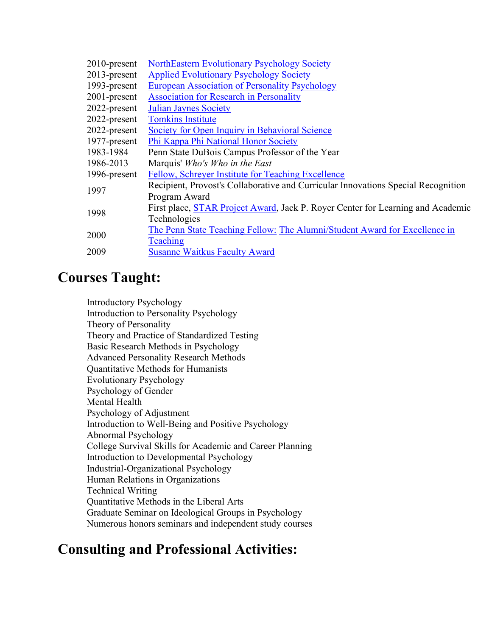| $2010$ -present | NorthEastern Evolutionary Psychology Society                                            |
|-----------------|-----------------------------------------------------------------------------------------|
| 2013-present    | <b>Applied Evolutionary Psychology Society</b>                                          |
| 1993-present    | <b>European Association of Personality Psychology</b>                                   |
| 2001-present    | <b>Association for Research in Personality</b>                                          |
| 2022-present    | <b>Julian Jaynes Society</b>                                                            |
| 2022-present    | <b>Tomkins Institute</b>                                                                |
| 2022-present    | Society for Open Inquiry in Behavioral Science                                          |
| 1977-present    | Phi Kappa Phi National Honor Society                                                    |
| 1983-1984       | Penn State DuBois Campus Professor of the Year                                          |
| 1986-2013       | Marquis' Who's Who in the East                                                          |
| 1996-present    | Fellow, Schreyer Institute for Teaching Excellence                                      |
| 1997            | Recipient, Provost's Collaborative and Curricular Innovations Special Recognition       |
|                 | Program Award                                                                           |
| 1998            | First place, <b>STAR Project Award</b> , Jack P. Royer Center for Learning and Academic |
|                 | Technologies                                                                            |
| 2000            | The Penn State Teaching Fellow: The Alumni/Student Award for Excellence in              |
|                 | Teaching                                                                                |
| 2009            | <b>Susanne Waitkus Faculty Award</b>                                                    |
|                 |                                                                                         |

## Courses Taught:

Introductory Psychology Introduction to Personality Psychology Theory of Personality Theory and Practice of Standardized Testing Basic Research Methods in Psychology Advanced Personality Research Methods Quantitative Methods for Humanists Evolutionary Psychology Psychology of Gender Mental Health Psychology of Adjustment Introduction to Well-Being and Positive Psychology Abnormal Psychology College Survival Skills for Academic and Career Planning Introduction to Developmental Psychology Industrial-Organizational Psychology Human Relations in Organizations Technical Writing Quantitative Methods in the Liberal Arts Graduate Seminar on Ideological Groups in Psychology Numerous honors seminars and independent study courses

## Consulting and Professional Activities: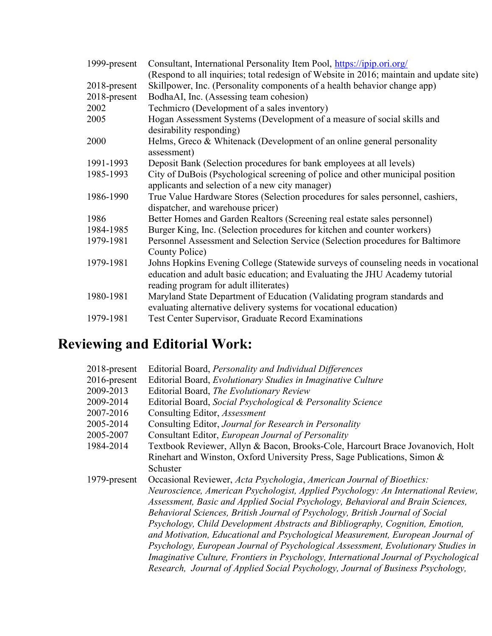| 1999-present | Consultant, International Personality Item Pool, https://ipip.ori.org/                                                                                                                                       |
|--------------|--------------------------------------------------------------------------------------------------------------------------------------------------------------------------------------------------------------|
|              | (Respond to all inquiries; total redesign of Website in 2016; maintain and update site)                                                                                                                      |
| 2018-present | Skillpower, Inc. (Personality components of a health behavior change app)                                                                                                                                    |
| 2018-present | BodhaAI, Inc. (Assessing team cohesion)                                                                                                                                                                      |
| 2002         | Techmicro (Development of a sales inventory)                                                                                                                                                                 |
| 2005         | Hogan Assessment Systems (Development of a measure of social skills and                                                                                                                                      |
|              | desirability responding)                                                                                                                                                                                     |
| 2000         | Helms, Greco & Whitenack (Development of an online general personality<br>assessment)                                                                                                                        |
| 1991-1993    | Deposit Bank (Selection procedures for bank employees at all levels)                                                                                                                                         |
| 1985-1993    | City of DuBois (Psychological screening of police and other municipal position<br>applicants and selection of a new city manager)                                                                            |
| 1986-1990    | True Value Hardware Stores (Selection procedures for sales personnel, cashiers,<br>dispatcher, and warehouse pricer)                                                                                         |
| 1986         | Better Homes and Garden Realtors (Screening real estate sales personnel)                                                                                                                                     |
| 1984-1985    | Burger King, Inc. (Selection procedures for kitchen and counter workers)                                                                                                                                     |
| 1979-1981    | Personnel Assessment and Selection Service (Selection procedures for Baltimore<br>County Police)                                                                                                             |
| 1979-1981    | Johns Hopkins Evening College (Statewide surveys of counseling needs in vocational<br>education and adult basic education; and Evaluating the JHU Academy tutorial<br>reading program for adult illiterates) |
| 1980-1981    | Maryland State Department of Education (Validating program standards and<br>evaluating alternative delivery systems for vocational education)                                                                |
| 1979-1981    | Test Center Supervisor, Graduate Record Examinations                                                                                                                                                         |

# Reviewing and Editorial Work:

| Editorial Board, Personality and Individual Differences                              |
|--------------------------------------------------------------------------------------|
| Editorial Board, Evolutionary Studies in Imaginative Culture                         |
| Editorial Board, The Evolutionary Review                                             |
| Editorial Board, Social Psychological & Personality Science                          |
| Consulting Editor, Assessment                                                        |
| Consulting Editor, Journal for Research in Personality                               |
| Consultant Editor, <i>European Journal of Personality</i>                            |
| Textbook Reviewer, Allyn & Bacon, Brooks-Cole, Harcourt Brace Jovanovich, Holt       |
| Rinehart and Winston, Oxford University Press, Sage Publications, Simon &            |
| Schuster                                                                             |
| Occasional Reviewer, Acta Psychologia, American Journal of Bioethics:                |
| Neuroscience, American Psychologist, Applied Psychology: An International Review,    |
| Assessment, Basic and Applied Social Psychology, Behavioral and Brain Sciences,      |
| Behavioral Sciences, British Journal of Psychology, British Journal of Social        |
| Psychology, Child Development Abstracts and Bibliography, Cognition, Emotion,        |
| and Motivation, Educational and Psychological Measurement, European Journal of       |
| Psychology, European Journal of Psychological Assessment, Evolutionary Studies in    |
| Imaginative Culture, Frontiers in Psychology, International Journal of Psychological |
| Research, Journal of Applied Social Psychology, Journal of Business Psychology,      |
|                                                                                      |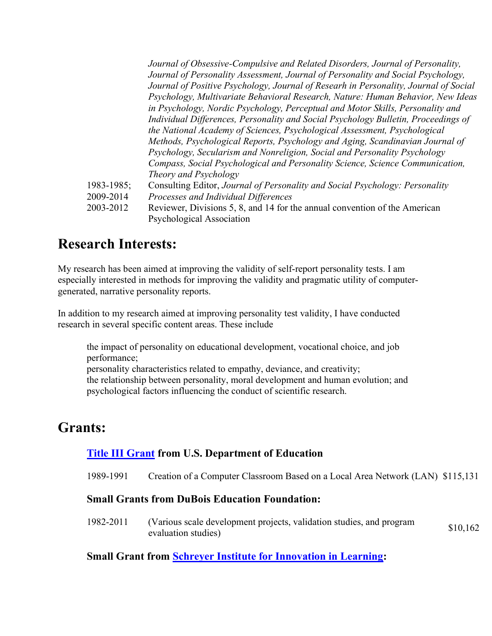|            | Journal of Obsessive-Compulsive and Related Disorders, Journal of Personality,       |
|------------|--------------------------------------------------------------------------------------|
|            | Journal of Personality Assessment, Journal of Personality and Social Psychology,     |
|            | Journal of Positive Psychology, Journal of Researh in Personality, Journal of Social |
|            | Psychology, Multivariate Behavioral Research, Nature: Human Behavior, New Ideas      |
|            | in Psychology, Nordic Psychology, Perceptual and Motor Skills, Personality and       |
|            | Individual Differences, Personality and Social Psychology Bulletin, Proceedings of   |
|            | the National Academy of Sciences, Psychological Assessment, Psychological            |
|            | Methods, Psychological Reports, Psychology and Aging, Scandinavian Journal of        |
|            | Psychology, Secularism and Nonreligion, Social and Personality Psychology            |
|            | Compass, Social Psychological and Personality Science, Science Communication,        |
|            | Theory and Psychology                                                                |
| 1983-1985; | Consulting Editor, Journal of Personality and Social Psychology: Personality         |
| 2009-2014  | Processes and Individual Differences                                                 |
| 2003-2012  | Reviewer, Divisions 5, 8, and 14 for the annual convention of the American           |
|            | Psychological Association                                                            |

#### Research Interests:

My research has been aimed at improving the validity of self-report personality tests. I am especially interested in methods for improving the validity and pragmatic utility of computergenerated, narrative personality reports.

In addition to my research aimed at improving personality test validity, I have conducted research in several specific content areas. These include

the impact of personality on educational development, vocational choice, and job performance; personality characteristics related to empathy, deviance, and creativity; the relationship between personality, moral development and human evolution; and psychological factors influencing the conduct of scientific research.

## Grants:

#### Title III Grant from U.S. Department of Education

1989-1991 Creation of a Computer Classroom Based on a Local Area Network (LAN) \$115,131

#### Small Grants from DuBois Education Foundation:

1982-2011 (Various scale development projects, validation studies, and program evaluation studies) \$10,162

#### Small Grant from **Schreyer Institute for Innovation in Learning:**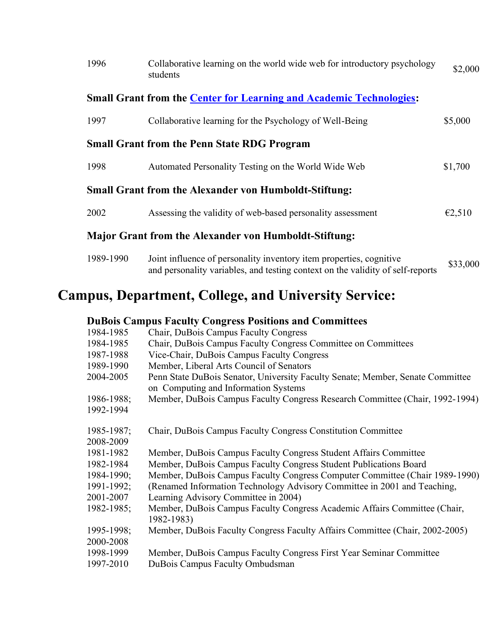| 1996                                                                                     | Collaborative learning on the world wide web for introductory psychology<br>students                                                                                                                                                                                                                                                                                                                                                                                         | \$2,000  |
|------------------------------------------------------------------------------------------|------------------------------------------------------------------------------------------------------------------------------------------------------------------------------------------------------------------------------------------------------------------------------------------------------------------------------------------------------------------------------------------------------------------------------------------------------------------------------|----------|
|                                                                                          | <b>Small Grant from the Center for Learning and Academic Technologies:</b>                                                                                                                                                                                                                                                                                                                                                                                                   |          |
| 1997                                                                                     | Collaborative learning for the Psychology of Well-Being                                                                                                                                                                                                                                                                                                                                                                                                                      | \$5,000  |
|                                                                                          | <b>Small Grant from the Penn State RDG Program</b>                                                                                                                                                                                                                                                                                                                                                                                                                           |          |
| 1998                                                                                     | Automated Personality Testing on the World Wide Web                                                                                                                                                                                                                                                                                                                                                                                                                          | \$1,700  |
|                                                                                          | <b>Small Grant from the Alexander von Humboldt-Stiftung:</b>                                                                                                                                                                                                                                                                                                                                                                                                                 |          |
| 2002                                                                                     | Assessing the validity of web-based personality assessment                                                                                                                                                                                                                                                                                                                                                                                                                   | E2,510   |
|                                                                                          | <b>Major Grant from the Alexander von Humboldt-Stiftung:</b>                                                                                                                                                                                                                                                                                                                                                                                                                 |          |
| 1989-1990                                                                                | Joint influence of personality inventory item properties, cognitive<br>and personality variables, and testing context on the validity of self-reports                                                                                                                                                                                                                                                                                                                        | \$33,000 |
|                                                                                          | <b>Campus, Department, College, and University Service:</b>                                                                                                                                                                                                                                                                                                                                                                                                                  |          |
| 1984-1985<br>1984-1985<br>1987-1988<br>1989-1990<br>2004-2005<br>1986-1988;<br>1992-1994 | <b>DuBois Campus Faculty Congress Positions and Committees</b><br>Chair, DuBois Campus Faculty Congress<br>Chair, DuBois Campus Faculty Congress Committee on Committees<br>Vice-Chair, DuBois Campus Faculty Congress<br>Member, Liberal Arts Council of Senators<br>Penn State DuBois Senator, University Faculty Senate; Member, Senate Committee<br>on Computing and Information Systems<br>Member, DuBois Campus Faculty Congress Research Committee (Chair, 1992-1994) |          |

| 1985-1987;      | Chair, DuBois Campus Faculty Congress Constitution Committee                            |
|-----------------|-----------------------------------------------------------------------------------------|
| 2008-2009       |                                                                                         |
| 1981-1982       | Member, DuBois Campus Faculty Congress Student Affairs Committee                        |
| 1982-1984       | Member, DuBois Campus Faculty Congress Student Publications Board                       |
| $1984 - 1990$ ; | Member, DuBois Campus Faculty Congress Computer Committee (Chair 1989-1990)             |
| 1991-1992;      | (Renamed Information Technology Advisory Committee in 2001 and Teaching,                |
| 2001-2007       | Learning Advisory Committee in 2004)                                                    |
| $1982 - 1985;$  | Member, DuBois Campus Faculty Congress Academic Affairs Committee (Chair,<br>1982-1983) |
| 1995-1998;      | Member, DuBois Faculty Congress Faculty Affairs Committee (Chair, 2002-2005)            |
| 2000-2008       |                                                                                         |
| 1998-1999       | Member, DuBois Campus Faculty Congress First Year Seminar Committee                     |
| 1997-2010       | DuBois Campus Faculty Ombudsman                                                         |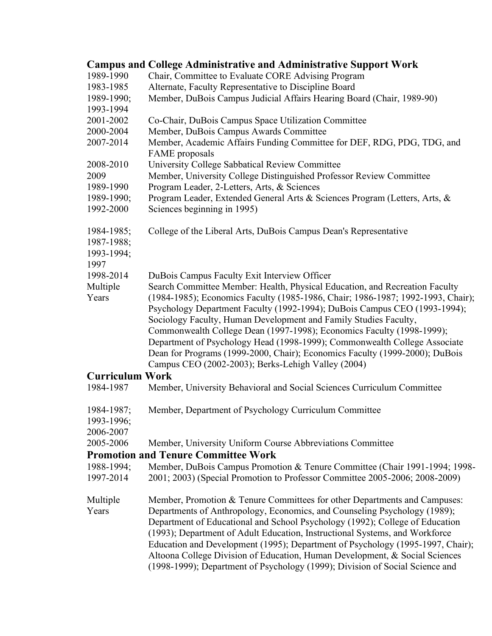|                                                | <b>Campus and College Administrative and Administrative Support Work</b>                                                                                                                                                                                                                                                                                                                                                                                                                                                                                                                                   |
|------------------------------------------------|------------------------------------------------------------------------------------------------------------------------------------------------------------------------------------------------------------------------------------------------------------------------------------------------------------------------------------------------------------------------------------------------------------------------------------------------------------------------------------------------------------------------------------------------------------------------------------------------------------|
| 1989-1990                                      | Chair, Committee to Evaluate CORE Advising Program                                                                                                                                                                                                                                                                                                                                                                                                                                                                                                                                                         |
| 1983-1985                                      | Alternate, Faculty Representative to Discipline Board                                                                                                                                                                                                                                                                                                                                                                                                                                                                                                                                                      |
| 1989-1990;                                     | Member, DuBois Campus Judicial Affairs Hearing Board (Chair, 1989-90)                                                                                                                                                                                                                                                                                                                                                                                                                                                                                                                                      |
| 1993-1994                                      |                                                                                                                                                                                                                                                                                                                                                                                                                                                                                                                                                                                                            |
| 2001-2002                                      | Co-Chair, DuBois Campus Space Utilization Committee                                                                                                                                                                                                                                                                                                                                                                                                                                                                                                                                                        |
| 2000-2004                                      | Member, DuBois Campus Awards Committee                                                                                                                                                                                                                                                                                                                                                                                                                                                                                                                                                                     |
| 2007-2014                                      | Member, Academic Affairs Funding Committee for DEF, RDG, PDG, TDG, and<br>FAME proposals                                                                                                                                                                                                                                                                                                                                                                                                                                                                                                                   |
| 2008-2010                                      | University College Sabbatical Review Committee                                                                                                                                                                                                                                                                                                                                                                                                                                                                                                                                                             |
| 2009                                           | Member, University College Distinguished Professor Review Committee                                                                                                                                                                                                                                                                                                                                                                                                                                                                                                                                        |
| 1989-1990                                      | Program Leader, 2-Letters, Arts, & Sciences                                                                                                                                                                                                                                                                                                                                                                                                                                                                                                                                                                |
| 1989-1990;                                     | Program Leader, Extended General Arts & Sciences Program (Letters, Arts, &                                                                                                                                                                                                                                                                                                                                                                                                                                                                                                                                 |
| 1992-2000                                      | Sciences beginning in 1995)                                                                                                                                                                                                                                                                                                                                                                                                                                                                                                                                                                                |
| 1984-1985;<br>1987-1988;<br>1993-1994;<br>1997 | College of the Liberal Arts, DuBois Campus Dean's Representative                                                                                                                                                                                                                                                                                                                                                                                                                                                                                                                                           |
| 1998-2014                                      | DuBois Campus Faculty Exit Interview Officer                                                                                                                                                                                                                                                                                                                                                                                                                                                                                                                                                               |
| Multiple<br>Years                              | Search Committee Member: Health, Physical Education, and Recreation Faculty<br>(1984-1985); Economics Faculty (1985-1986, Chair; 1986-1987; 1992-1993, Chair);<br>Psychology Department Faculty (1992-1994); DuBois Campus CEO (1993-1994);<br>Sociology Faculty, Human Development and Family Studies Faculty,<br>Commonwealth College Dean (1997-1998); Economics Faculty (1998-1999);<br>Department of Psychology Head (1998-1999); Commonwealth College Associate<br>Dean for Programs (1999-2000, Chair); Economics Faculty (1999-2000); DuBois<br>Campus CEO (2002-2003); Berks-Lehigh Valley (2004) |
| <b>Curriculum Work</b>                         |                                                                                                                                                                                                                                                                                                                                                                                                                                                                                                                                                                                                            |
| 1984-1987                                      | Member, University Behavioral and Social Sciences Curriculum Committee                                                                                                                                                                                                                                                                                                                                                                                                                                                                                                                                     |
| 1984-1987;<br>1993-1996;<br>2006-2007          | Member, Department of Psychology Curriculum Committee                                                                                                                                                                                                                                                                                                                                                                                                                                                                                                                                                      |
| 2005-2006                                      | Member, University Uniform Course Abbreviations Committee                                                                                                                                                                                                                                                                                                                                                                                                                                                                                                                                                  |
|                                                | <b>Promotion and Tenure Committee Work</b>                                                                                                                                                                                                                                                                                                                                                                                                                                                                                                                                                                 |
| 1988-1994;<br>1997-2014                        | Member, DuBois Campus Promotion & Tenure Committee (Chair 1991-1994; 1998-<br>2001; 2003) (Special Promotion to Professor Committee 2005-2006; 2008-2009)                                                                                                                                                                                                                                                                                                                                                                                                                                                  |
| Multiple<br>Years                              | Member, Promotion & Tenure Committees for other Departments and Campuses:<br>Departments of Anthropology, Economics, and Counseling Psychology (1989);<br>Department of Educational and School Psychology (1992); College of Education<br>(1993); Department of Adult Education, Instructional Systems, and Workforce<br>Education and Development (1995); Department of Psychology (1995-1997, Chair);<br>Altoona College Division of Education, Human Development, & Social Sciences<br>(1998-1999); Department of Psychology (1999); Division of Social Science and                                     |